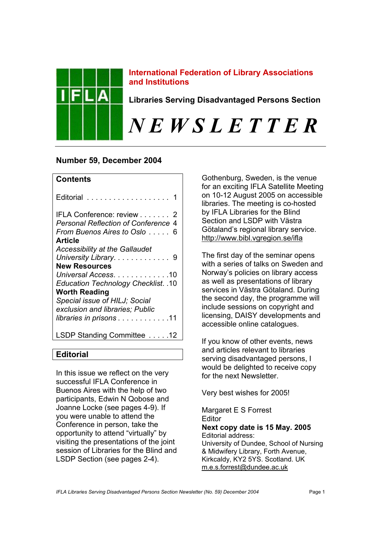

## **International Federation of Library Associations and Institutions**

**Libraries Serving Disadvantaged Persons Section** 

# *N E W S L E T T E R*

# **Number 59, December 2004**

# **Contents**

| Editorial  1                                                                                           |
|--------------------------------------------------------------------------------------------------------|
| IFLA Conference: review 2<br><b>Personal Reflection of Conference 4</b><br>From Buenos Aires to Oslo 6 |
| <b>Article</b>                                                                                         |
| <b>Accessibility at the Gallaudet</b>                                                                  |
| University Library 9                                                                                   |
| <b>New Resources</b>                                                                                   |
| Universal Access10                                                                                     |
| <b>Education Technology Checklist. .10</b>                                                             |
| <b>Worth Reading</b>                                                                                   |
| Special issue of HILJ; Social                                                                          |
| exclusion and libraries; Public                                                                        |
| <i>libraries in prisons</i> 11                                                                         |
| LSDP Standing Committee 12                                                                             |

**Editorial** 

In this issue we reflect on the very successful IFLA Conference in Buenos Aires with the help of two participants, Edwin N Qobose and Joanne Locke (see pages 4-9). If you were unable to attend the Conference in person, take the opportunity to attend "virtually" by visiting the presentations of the joint session of Libraries for the Blind and LSDP Section (see pages 2-4).

Gothenburg, Sweden, is the venue for an exciting IFLA Satellite Meeting on 10-12 August 2005 on accessible libraries. The meeting is co-hosted by IFLA Libraries for the Blind Section and LSDP with Västra Götaland's regional library service. <http://www.bibl.vgregion.se/ifla>

The first day of the seminar opens with a series of talks on Sweden and Norway's policies on library access as well as presentations of library services in Västra Götaland. During the second day, the programme will include sessions on copyright and licensing, DAISY developments and accessible online catalogues.

If you know of other events, news and articles relevant to libraries serving disadvantaged persons, I would be delighted to receive copy for the next Newsletter.

Very best wishes for 2005!

Margaret E S Forrest **Editor Next copy date is 15 May. 2005**  Editorial address: University of Dundee, School of Nursing & Midwifery Library, Forth Avenue, Kirkcaldy, KY2 5YS. Scotland. UK m.e.s.forrest@dundee.ac.uk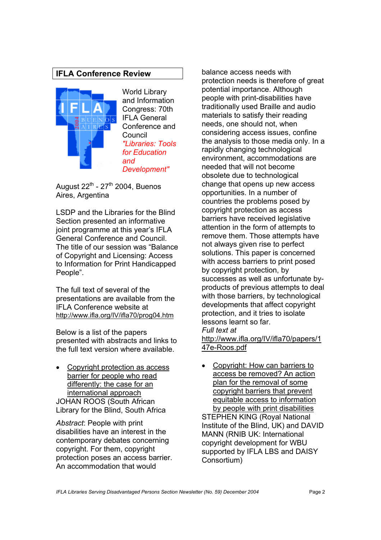# **IFLA Conference Review**



World Library and Information Congress: 70th IFLA General Conference and Council *"Libraries: Tools for Education and Development"*

August  $22^{th}$  -  $27^{th}$  2004, Buenos Aires, Argentina

LSDP and the Libraries for the Blind Section presented an informative joint programme at this year's IFLA General Conference and Council. The title of our session was "Balance of Copyright and Licensing: Access to Information for Print Handicapped People".

The full text of several of the presentations are available from the IFLA Conference website at <http://www.ifla.org/IV/ifla70/prog04.htm>

Below is a list of the papers presented with abstracts and links to the full text version where available.

• Copyright protection as access barrier for people who read differently: the case for an international approach JOHAN ROOS (South African Library for the Blind, South Africa

*Abstract*: People with print disabilities have an interest in the contemporary debates concerning copyright. For them, copyright protection poses an access barrier. An accommodation that would

balance access needs with protection needs is therefore of great potential importance. Although people with print-disabilities have traditionally used Braille and audio materials to satisfy their reading needs, one should not, when considering access issues, confine the analysis to those media only. In a rapidly changing technological environment, accommodations are needed that will not become obsolete due to technological change that opens up new access opportunities. In a number of countries the problems posed by copyright protection as access barriers have received legislative attention in the form of attempts to remove them. Those attempts have not always given rise to perfect solutions. This paper is concerned with access barriers to print posed by copyright protection, by successes as well as unfortunate byproducts of previous attempts to deal with those barriers, by technological developments that affect copyright protection, and it tries to isolate lessons learnt so far. *Full text at* <http://www.ifla.org/IV/ifla70/papers/1>

47e-Roos.pdf

• Copyright: How can barriers to access be removed? An action plan for the removal of some copyright barriers that prevent equitable access to information by people with print disabilities STEPHEN KING (Royal National Institute of the Blind, UK) and DAVID MANN (RNIB UK: International copyright development for WBU supported by IFLA LBS and DAISY Consortium)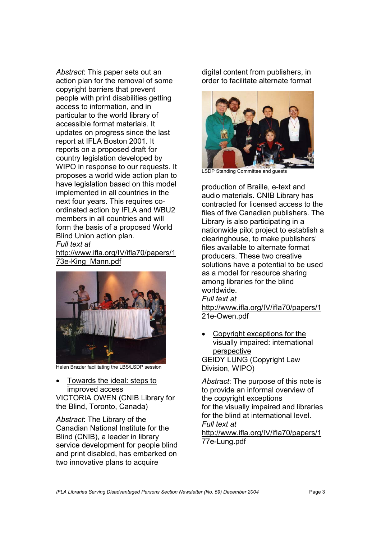*Abstract*: This paper sets out an action plan for the removal of some copyright barriers that prevent people with print disabilities getting access to information, and in particular to the world library of accessible format materials. It updates on progress since the last report at IFLA Boston 2001. It reports on a proposed draft for country legislation developed by WIPO in response to our requests. It proposes a world wide action plan to have legislation based on this model implemented in all countries in the next four years. This requires coordinated action by IFLA and WBU2 members in all countries and will form the basis of a proposed World Blind Union action plan. *Full text at*

<http://www.ifla.org/IV/ifla70/papers/1> 73e-King\_Mann.pdf



Helen Brazier facilitating the LBS/LSDP session

• Towards the ideal: steps to improved access VICTORIA OWEN (CNIB Library for the Blind, Toronto, Canada)

*Abstract*: The Library of the Canadian National Institute for the Blind (CNIB), a leader in library service development for people blind and print disabled, has embarked on two innovative plans to acquire

digital content from publishers, in order to facilitate alternate format



LSDP Standing Committee and guests

production of Braille, e-text and audio materials. CNIB Library has contracted for licensed access to the files of five Canadian publishers. The Library is also participating in a nationwide pilot project to establish a clearinghouse, to make publishers' files available to alternate format producers. These two creative solutions have a potential to be used as a model for resource sharing among libraries for the blind worldwide. *Full text at* <http://www.ifla.org/IV/ifla70/papers/1> 21e-Owen.pdf

• Copyright exceptions for the visually impaired: international perspective GEIDY LUNG (Copyright Law Division, WIPO)

*Abstract*: The purpose of this note is to provide an informal overview of the copyright exceptions for the visually impaired and libraries for the blind at international level. *Full text at* <http://www.ifla.org/IV/ifla70/papers/1> 77e-Lung.pdf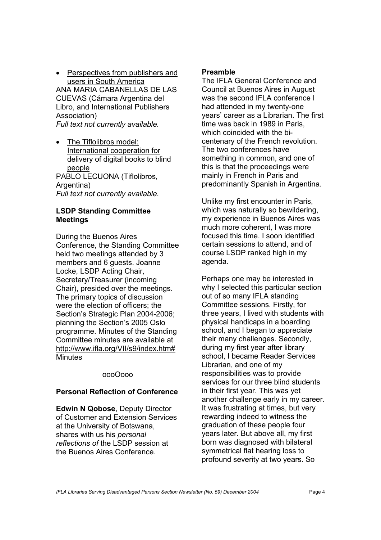Perspectives from publishers and users in South America ANA MARIA CABANELLAS DE LAS CUEVAS (Cámara Argentina del Libro, and International Publishers Association)

*Full text not currently available.* 

• The Tiflolibros model: International cooperation for delivery of digital books to blind people

PABLO LECUONA (Tiflolibros, Argentina) *Full text not currently available.* 

## **LSDP Standing Committee Meetings**

During the Buenos Aires Conference, the Standing Committee held two meetings attended by 3 members and 6 guests. Joanne Locke, LSDP Acting Chair, Secretary/Treasurer (incoming Chair), presided over the meetings. The primary topics of discussion were the election of officers; the Section's Strategic Plan 2004-2006; planning the Section's 2005 Oslo programme. Minutes of the Standing Committee minutes are available at <http://www.ifla.org/VII/s9/index.htm#> **Minutes** 

#### oooOooo

## **Personal Reflection of Conference**

**Edwin N Qobose**, Deputy Director of Customer and Extension Services at the University of Botswana, shares with us his *personal reflections of* the LSDP session at the Buenos Aires Conference.

## **Preamble**

The IFLA General Conference and Council at Buenos Aires in August was the second IFLA conference I had attended in my twenty-one years' career as a Librarian. The first time was back in 1989 in Paris, which coincided with the bicentenary of the French revolution. The two conferences have something in common, and one of this is that the proceedings were mainly in French in Paris and predominantly Spanish in Argentina.

Unlike my first encounter in Paris, which was naturally so bewildering, my experience in Buenos Aires was much more coherent, I was more focused this time. I soon identified certain sessions to attend, and of course LSDP ranked high in my agenda.

Perhaps one may be interested in why I selected this particular section out of so many IFLA standing Committee sessions. Firstly, for three years, I lived with students with physical handicaps in a boarding school, and I began to appreciate their many challenges. Secondly, during my first year after library school, I became Reader Services Librarian, and one of my responsibilities was to provide services for our three blind students in their first year. This was yet another challenge early in my career. It was frustrating at times, but very rewarding indeed to witness the graduation of these people four years later. But above all, my first born was diagnosed with bilateral symmetrical flat hearing loss to profound severity at two years. So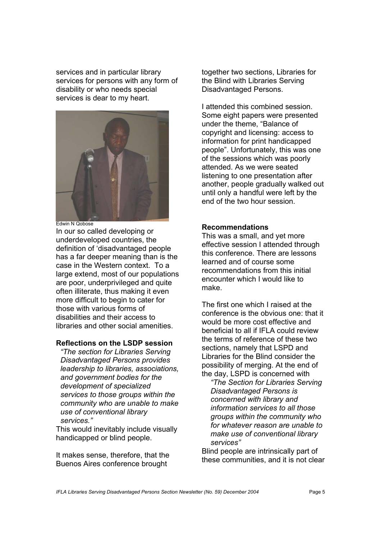services and in particular library services for persons with any form of disability or who needs special services is dear to my heart.



Edwin N Qobose

In our so called developing or underdeveloped countries, the definition of 'disadvantaged people has a far deeper meaning than is the case in the Western context. To a large extend, most of our populations are poor, underprivileged and quite often illiterate, thus making it even more difficult to begin to cater for those with various forms of disabilities and their access to libraries and other social amenities.

## **Reflections on the LSDP session**

*"The section for Libraries Serving Disadvantaged Persons provides leadership to libraries, associations, and government bodies for the development of specialized services to those groups within the community who are unable to make use of conventional library services."*

This would inevitably include visually handicapped or blind people.

It makes sense, therefore, that the Buenos Aires conference brought

together two sections, Libraries for the Blind with Libraries Serving Disadvantaged Persons.

I attended this combined session. Some eight papers were presented under the theme, "Balance of copyright and licensing: access to information for print handicapped people". Unfortunately, this was one of the sessions which was poorly attended. As we were seated listening to one presentation after another, people gradually walked out until only a handful were left by the end of the two hour session.

#### **Recommendations**

This was a small, and yet more effective session I attended through this conference. There are lessons learned and of course some recommendations from this initial encounter which I would like to make.

The first one which I raised at the conference is the obvious one: that it would be more cost effective and beneficial to all if IFLA could review the terms of reference of these two sections, namely that LSPD and Libraries for the Blind consider the possibility of merging. At the end of the day, LSPD is concerned with

*"The Section for Libraries Serving Disadvantaged Persons is concerned with library and information services to all those groups within the community who for whatever reason are unable to make use of conventional library services"* 

Blind people are intrinsically part of these communities, and it is not clear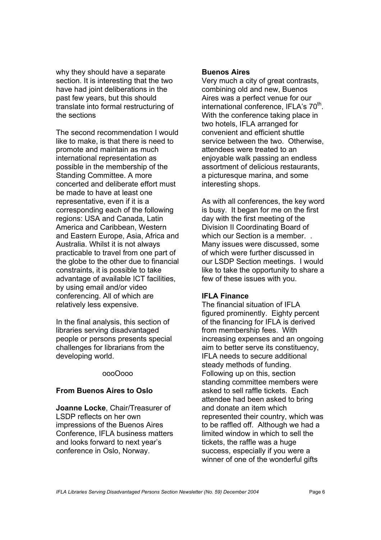why they should have a separate section. It is interesting that the two have had joint deliberations in the past few years, but this should translate into formal restructuring of the sections

The second recommendation I would like to make, is that there is need to promote and maintain as much international representation as possible in the membership of the Standing Committee. A more concerted and deliberate effort must be made to have at least one representative, even if it is a corresponding each of the following regions: USA and Canada, Latin America and Caribbean, Western and Eastern Europe, Asia, Africa and Australia. Whilst it is not always practicable to travel from one part of the globe to the other due to financial constraints, it is possible to take advantage of available ICT facilities, by using email and/or video conferencing. All of which are relatively less expensive.

In the final analysis, this section of libraries serving disadvantaged people or persons presents special challenges for librarians from the developing world.

#### oooOooo

#### **From Buenos Aires to Oslo**

**Joanne Locke**, Chair/Treasurer of LSDP reflects on her own impressions of the Buenos Aires Conference, IFLA business matters and looks forward to next year's conference in Oslo, Norway.

#### **Buenos Aires**

Very much a city of great contrasts, combining old and new, Buenos Aires was a perfect venue for our international conference, IFLA's 70<sup>th</sup>. With the conference taking place in two hotels, IFLA arranged for convenient and efficient shuttle service between the two. Otherwise, attendees were treated to an enjoyable walk passing an endless assortment of delicious restaurants, a picturesque marina, and some interesting shops.

As with all conferences, the key word is busy. It began for me on the first day with the first meeting of the Division II Coordinating Board of which our Section is a member. . Many issues were discussed, some of which were further discussed in our LSDP Section meetings. I would like to take the opportunity to share a few of these issues with you.

#### **IFLA Finance**

The financial situation of IFLA figured prominently. Eighty percent of the financing for IFLA is derived from membership fees. With increasing expenses and an ongoing aim to better serve its constituency, IFLA needs to secure additional steady methods of funding. Following up on this, section standing committee members were asked to sell raffle tickets. Each attendee had been asked to bring and donate an item which represented their country, which was to be raffled off. Although we had a limited window in which to sell the tickets, the raffle was a huge success, especially if you were a winner of one of the wonderful gifts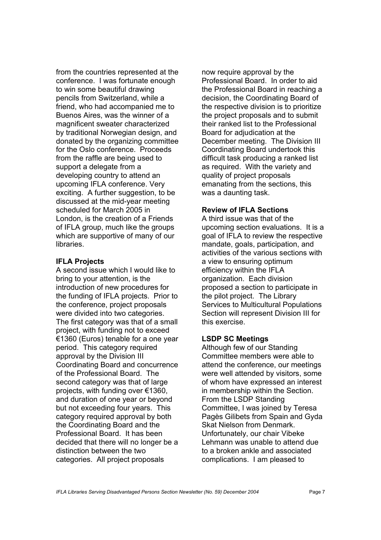from the countries represented at the conference. I was fortunate enough to win some beautiful drawing pencils from Switzerland, while a friend, who had accompanied me to Buenos Aires, was the winner of a magnificent sweater characterized by traditional Norwegian design, and donated by the organizing committee for the Oslo conference. Proceeds from the raffle are being used to support a delegate from a developing country to attend an upcoming IFLA conference. Very exciting. A further suggestion, to be discussed at the mid-year meeting scheduled for March 2005 in London, is the creation of a Friends of IFLA group, much like the groups which are supportive of many of our libraries.

#### **IFLA Projects**

A second issue which I would like to bring to your attention, is the introduction of new procedures for the funding of IFLA projects. Prior to the conference, project proposals were divided into two categories. The first category was that of a small project, with funding not to exceed €1360 (Euros) tenable for a one year period. This category required approval by the Division III Coordinating Board and concurrence of the Professional Board. The second category was that of large projects, with funding over €1360, and duration of one year or beyond but not exceeding four years. This category required approval by both the Coordinating Board and the Professional Board. It has been decided that there will no longer be a distinction between the two categories. All project proposals

now require approval by the Professional Board. In order to aid the Professional Board in reaching a decision, the Coordinating Board of the respective division is to prioritize the project proposals and to submit their ranked list to the Professional Board for adjudication at the December meeting. The Division III Coordinating Board undertook this difficult task producing a ranked list as required. With the variety and quality of project proposals emanating from the sections, this was a daunting task.

#### **Review of IFLA Sections**

A third issue was that of the upcoming section evaluations. It is a goal of IFLA to review the respective mandate, goals, participation, and activities of the various sections with a view to ensuring optimum efficiency within the IFLA organization. Each division proposed a section to participate in the pilot project. The Library Services to Multicultural Populations Section will represent Division III for this exercise.

#### **LSDP SC Meetings**

Although few of our Standing Committee members were able to attend the conference, our meetings were well attended by visitors, some of whom have expressed an interest in membership within the Section. From the LSDP Standing Committee, I was joined by Teresa Pagès Gilibets from Spain and Gyda Skat Nielson from Denmark. Unfortunately, our chair Vibeke Lehmann was unable to attend due to a broken ankle and associated complications. I am pleased to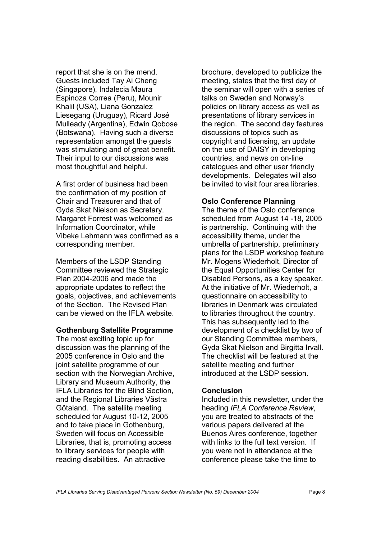report that she is on the mend. Guests included Tay Ai Cheng (Singapore), Indalecia Maura Espinoza Correa (Peru), Mounir Khalil (USA), Liana Gonzalez Liesegang (Uruguay), Ricard José Mulleady (Argentina), Edwin Qobose (Botswana). Having such a diverse representation amongst the guests was stimulating and of great benefit. Their input to our discussions was most thoughtful and helpful.

A first order of business had been the confirmation of my position of Chair and Treasurer and that of Gyda Skat Nielson as Secretary. Margaret Forrest was welcomed as Information Coordinator, while Vibeke Lehmann was confirmed as a corresponding member.

Members of the LSDP Standing Committee reviewed the Strategic Plan 2004-2006 and made the appropriate updates to reflect the goals, objectives, and achievements of the Section. The Revised Plan can be viewed on the IFLA website.

#### **Gothenburg Satellite Programme**

The most exciting topic up for discussion was the planning of the 2005 conference in Oslo and the joint satellite programme of our section with the Norwegian Archive, Library and Museum Authority, the IFLA Libraries for the Blind Section, and the Regional Libraries Västra Götaland. The satellite meeting scheduled for August 10-12, 2005 and to take place in Gothenburg, Sweden will focus on Accessible Libraries, that is, promoting access to library services for people with reading disabilities. An attractive

brochure, developed to publicize the meeting, states that the first day of the seminar will open with a series of talks on Sweden and Norway's policies on library access as well as presentations of library services in the region. The second day features discussions of topics such as copyright and licensing, an update on the use of DAISY in developing countries, and news on on-line catalogues and other user friendly developments. Delegates will also be invited to visit four area libraries.

#### **Oslo Conference Planning**

The theme of the Oslo conference scheduled from August 14 -18, 2005 is partnership. Continuing with the accessibility theme, under the umbrella of partnership, preliminary plans for the LSDP workshop feature Mr. Mogens Wiederholt, Director of the Equal Opportunities Center for Disabled Persons, as a key speaker. At the initiative of Mr. Wiederholt, a questionnaire on accessibility to libraries in Denmark was circulated to libraries throughout the country. This has subsequently led to the development of a checklist by two of our Standing Committee members, Gyda Skat Nielson and Birgitta Irvall. The checklist will be featured at the satellite meeting and further introduced at the LSDP session.

#### **Conclusion**

Included in this newsletter, under the heading *IFLA Conference Review*, you are treated to abstracts of the various papers delivered at the Buenos Aires conference, together with links to the full text version. If you were not in attendance at the conference please take the time to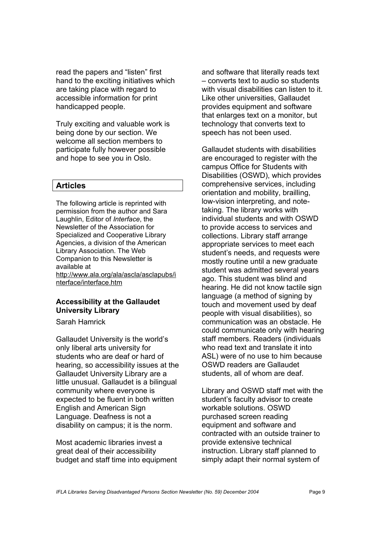read the papers and "listen" first hand to the exciting initiatives which are taking place with regard to accessible information for print handicapped people.

Truly exciting and valuable work is being done by our section. We welcome all section members to participate fully however possible and hope to see you in Oslo.

#### **Articles**

The following article is reprinted with permission from the author and Sara Laughlin, Editor of *Interface*, the Newsletter of the Association for Specialized and Cooperative Library Agencies, a division of the American Library Association. The Web Companion to this Newsletter is available at <http://www.ala.org/ala/ascla/asclapubs/i> nterface/interface.htm

#### **Accessibility at the Gallaudet University Library**

Sarah Hamrick

Gallaudet University is the world's only liberal arts university for students who are deaf or hard of hearing, so accessibility issues at the Gallaudet University Library are a little unusual. Gallaudet is a bilingual community where everyone is expected to be fluent in both written English and American Sign Language. Deafness is not a disability on campus; it is the norm.

Most academic libraries invest a great deal of their accessibility budget and staff time into equipment and software that literally reads text – converts text to audio so students with visual disabilities can listen to it. Like other universities, Gallaudet provides equipment and software that enlarges text on a monitor, but technology that converts text to speech has not been used.

Gallaudet students with disabilities are encouraged to register with the campus Office for Students with Disabilities (OSWD), which provides comprehensive services, including orientation and mobility, brailling, low-vision interpreting, and notetaking. The library works with individual students and with OSWD to provide access to services and collections. Library staff arrange appropriate services to meet each student's needs, and requests were mostly routine until a new graduate student was admitted several years ago. This student was blind and hearing. He did not know tactile sign language (a method of signing by touch and movement used by deaf people with visual disabilities), so communication was an obstacle. He could communicate only with hearing staff members. Readers (individuals who read text and translate it into ASL) were of no use to him because OSWD readers are Gallaudet students, all of whom are deaf.

Library and OSWD staff met with the student's faculty advisor to create workable solutions. OSWD purchased screen reading equipment and software and contracted with an outside trainer to provide extensive technical instruction. Library staff planned to simply adapt their normal system of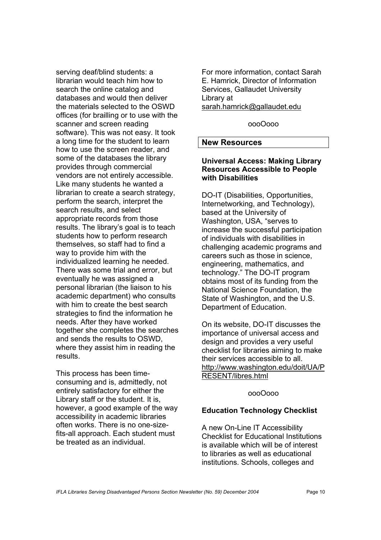serving deaf/blind students: a librarian would teach him how to search the online catalog and databases and would then deliver the materials selected to the OSWD offices (for brailling or to use with the scanner and screen reading software). This was not easy. It took a long time for the student to learn how to use the screen reader, and some of the databases the library provides through commercial vendors are not entirely accessible. Like many students he wanted a librarian to create a search strategy, perform the search, interpret the search results, and select appropriate records from those results. The library's goal is to teach students how to perform research themselves, so staff had to find a way to provide him with the individualized learning he needed. There was some trial and error, but eventually he was assigned a personal librarian (the liaison to his academic department) who consults with him to create the best search strategies to find the information he needs. After they have worked together she completes the searches and sends the results to OSWD, where they assist him in reading the results.

This process has been timeconsuming and is, admittedly, not entirely satisfactory for either the Library staff or the student. It is, however, a good example of the way accessibility in academic libraries often works. There is no one-sizefits-all approach. Each student must be treated as an individual.

For more information, contact Sarah E. Hamrick, Director of Information Services, Gallaudet University Library at sarah.hamrick@gallaudet.edu

oooOooo

#### **New Resources**

#### **Universal Access: Making Library Resources Accessible to People with Disabilities**

DO-IT (Disabilities, Opportunities, Internetworking, and Technology), based at the University of Washington, USA, "serves to increase the successful participation of individuals with disabilities in challenging academic programs and careers such as those in science, engineering, mathematics, and technology." The DO-IT program obtains most of its funding from the National Science Foundation, the State of Washington, and the U.S. Department of Education.

On its website, DO-IT discusses the importance of universal access and design and provides a very useful checklist for libraries aiming to make their services accessible to all. <http://www.washington.edu/doit/UA/P> RESENT/libres.html

oooOooo

## **Education Technology Checklist**

A new On-Line IT Accessibility Checklist for Educational Institutions is available which will be of interest to libraries as well as educational institutions. Schools, colleges and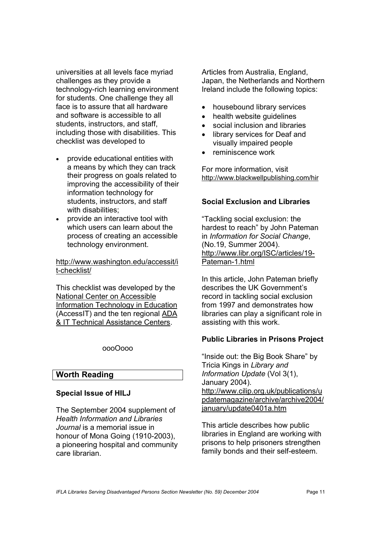universities at all levels face myriad challenges as they provide a technology-rich learning environment for students. One challenge they all face is to assure that all hardware and software is accessible to all students, instructors, and staff, including those with disabilities. This checklist was developed to

- provide educational entities with a means by which they can track their progress on goals related to improving the accessibility of their information technology for students, instructors, and staff with disabilities:
- provide an interactive tool with which users can learn about the process of creating an accessible technology environment.

<http://www.washington.edu/accessit/i> t-checklist/

This checklist was developed by the National Center on Accessible Information Technology in Education (AccessIT) and the ten regional ADA & IT Technical Assistance Centers.

oooOooo

#### **Worth Reading**

#### **Special Issue of HILJ**

The September 2004 supplement of *Health Information and Libraries Journal* is a memorial issue in honour of Mona Going (1910-2003), a pioneering hospital and community care librarian.

Articles from Australia, England, Japan, the Netherlands and Northern Ireland include the following topics:

- housebound library services
- health website quidelines
- social inclusion and libraries
- library services for Deaf and visually impaired people
- reminiscence work

For more information, visit <http://www.blackwellpublishing.com/hir>

#### **Social Exclusion and Libraries**

"Tackling social exclusion: the hardest to reach" by John Pateman in *Information for Social Change*, (No.19, Summer 2004). <http://www.libr.org/ISC/articles/19-> Pateman-1.html

In this article, John Pateman briefly describes the UK Government's record in tackling social exclusion from 1997 and demonstrates how libraries can play a significant role in assisting with this work.

#### **Public Libraries in Prisons Project**

"Inside out: the Big Book Share" by Tricia Kings in *Library and Information Update* (Vol 3(1), January 2004). <http://www.cilip.org.uk/publications/u> pdatemagazine/archive/archive2004/ january/update0401a.htm

This article describes how public libraries in England are working with prisons to help prisoners strengthen family bonds and their self-esteem.